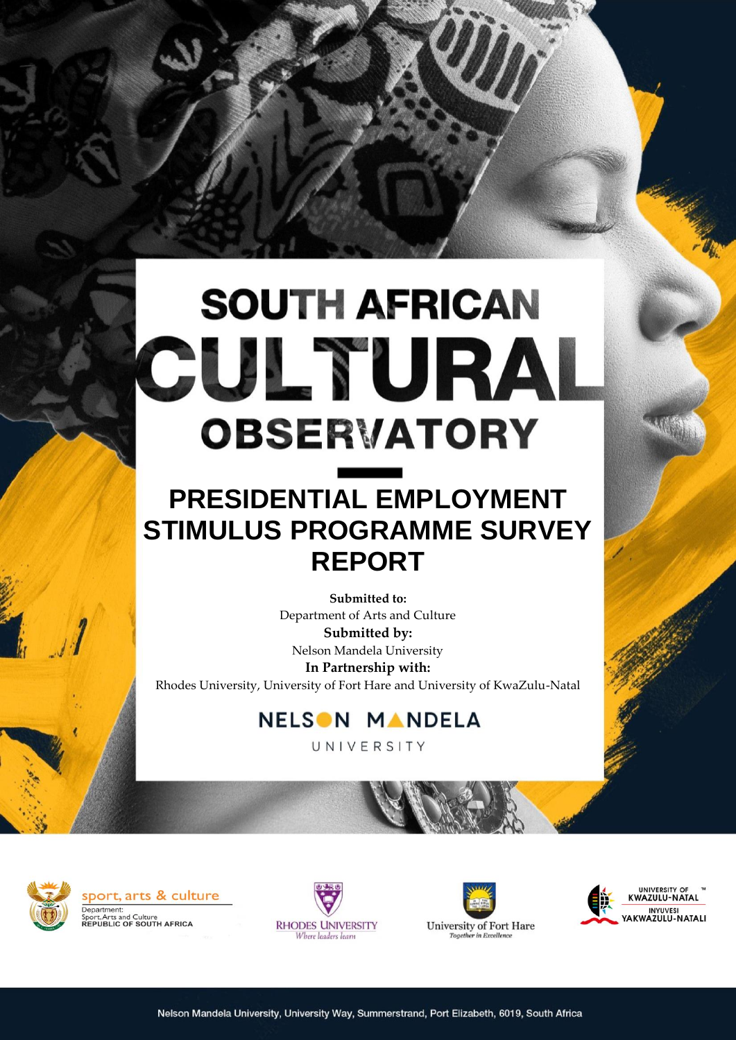# **SOUTH AFRICAN** CULTURAL **OBSERVATORY**

# **PRESIDENTIAL EMPLOYMENT STIMULUS PROGRAMME SURVEY REPORT**

**Submitted to:** Department of Arts and Culture **Submitted by:** Nelson Mandela University **In Partnership with:** Rhodes University, University of Fort Hare and University of KwaZulu-Natal

# **NELSON MANDELA**

UNIVERSITY

**RESEARCH (RESEARCH )** 







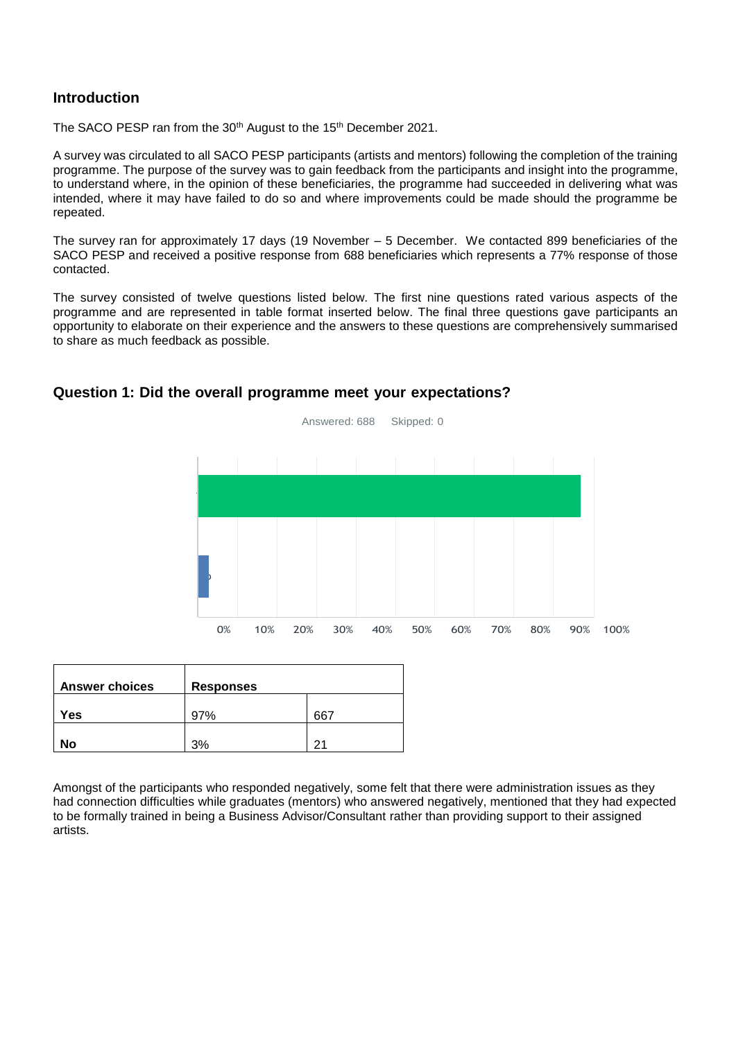# **Introduction**

The SACO PESP ran from the 30<sup>th</sup> August to the 15<sup>th</sup> December 2021.

A survey was circulated to all SACO PESP participants (artists and mentors) following the completion of the training programme. The purpose of the survey was to gain feedback from the participants and insight into the programme, to understand where, in the opinion of these beneficiaries, the programme had succeeded in delivering what was intended, where it may have failed to do so and where improvements could be made should the programme be repeated.

The survey ran for approximately 17 days (19 November – 5 December. We contacted 899 beneficiaries of the SACO PESP and received a positive response from 688 beneficiaries which represents a 77% response of those contacted.

The survey consisted of twelve questions listed below. The first nine questions rated various aspects of the programme and are represented in table format inserted below. The final three questions gave participants an opportunity to elaborate on their experience and the answers to these questions are comprehensively summarised to share as much feedback as possible.



# **Question 1: Did the overall programme meet your expectations?**

| <b>Answer choices</b> | <b>Responses</b> |     |  |  |  |
|-----------------------|------------------|-----|--|--|--|
| Yes                   | 97%              | 667 |  |  |  |
| No                    | 30/              | 21  |  |  |  |

Amongst of the participants who responded negatively, some felt that there were administration issues as they had connection difficulties while graduates (mentors) who answered negatively, mentioned that they had expected to be formally trained in being a Business Advisor/Consultant rather than providing support to their assigned artists.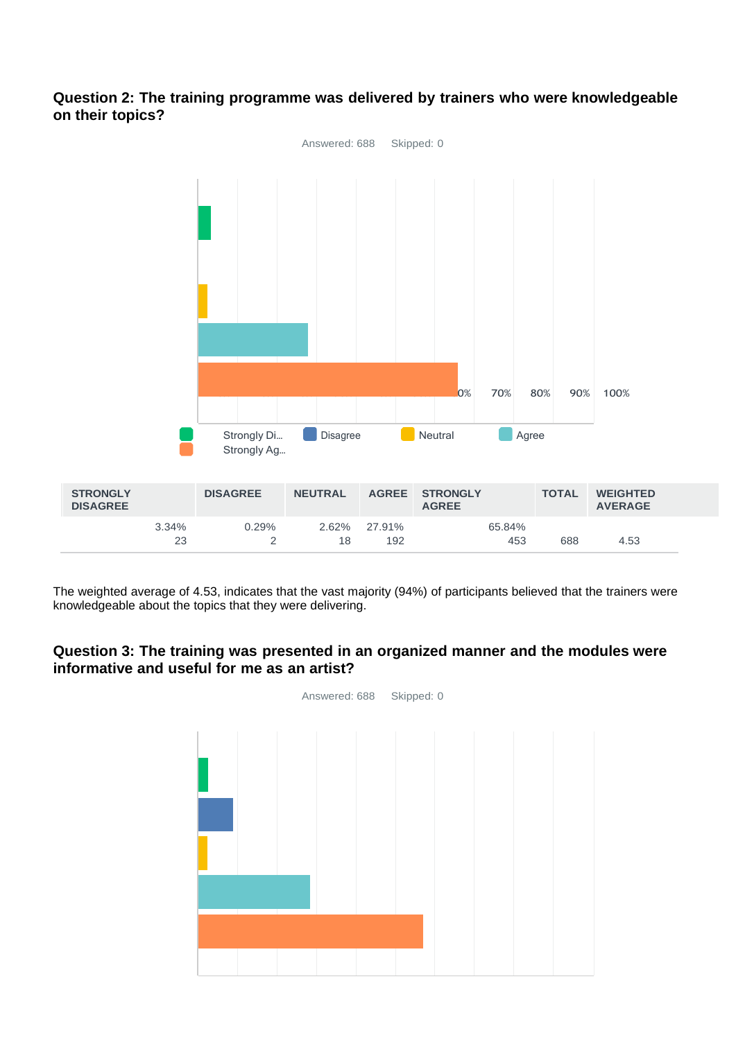# **Question 2: The training programme was delivered by trainers who were knowledgeable on their topics?**



The weighted average of 4.53, indicates that the vast majority (94%) of participants believed that the trainers were knowledgeable about the topics that they were delivering.

# **Question 3: The training was presented in an organized manner and the modules were informative and useful for me as an artist?**

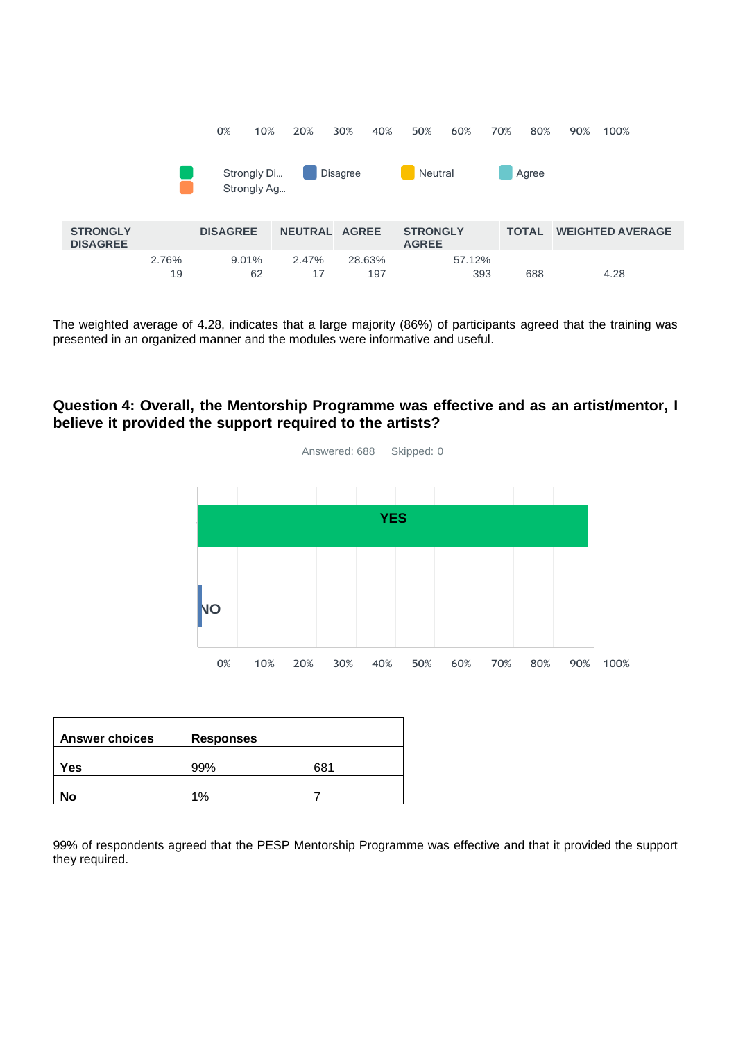|                                    |             | 0%<br>10%                  | 20%            | 30%<br>40%      | 50%<br>60%                      | 70%<br>80%   | 90%<br>100%             |
|------------------------------------|-------------|----------------------------|----------------|-----------------|---------------------------------|--------------|-------------------------|
|                                    |             | Strongly Di<br>Strongly Ag |                | <b>Disagree</b> | Neutral                         | Agree        |                         |
| <b>STRONGLY</b><br><b>DISAGREE</b> |             | <b>DISAGREE</b>            | <b>NEUTRAL</b> | <b>AGREE</b>    | <b>STRONGLY</b><br><b>AGREE</b> | <b>TOTAL</b> | <b>WEIGHTED AVERAGE</b> |
|                                    | 2.76%<br>19 | 9.01%<br>62                | 2.47%<br>17    | 28.63%<br>197   | 57.12%<br>393                   | 688          | 4.28                    |

The weighted average of 4.28, indicates that a large majority (86%) of participants agreed that the training was presented in an organized manner and the modules were informative and useful.

# **Question 4: Overall, the Mentorship Programme was effective and as an artist/mentor, I believe it provided the support required to the artists?**



| <b>Answer choices</b> | <b>Responses</b> |     |  |  |  |
|-----------------------|------------------|-----|--|--|--|
| Yes                   | 99%              | 681 |  |  |  |
| No                    | 1%               |     |  |  |  |

99% of respondents agreed that the PESP Mentorship Programme was effective and that it provided the support they required.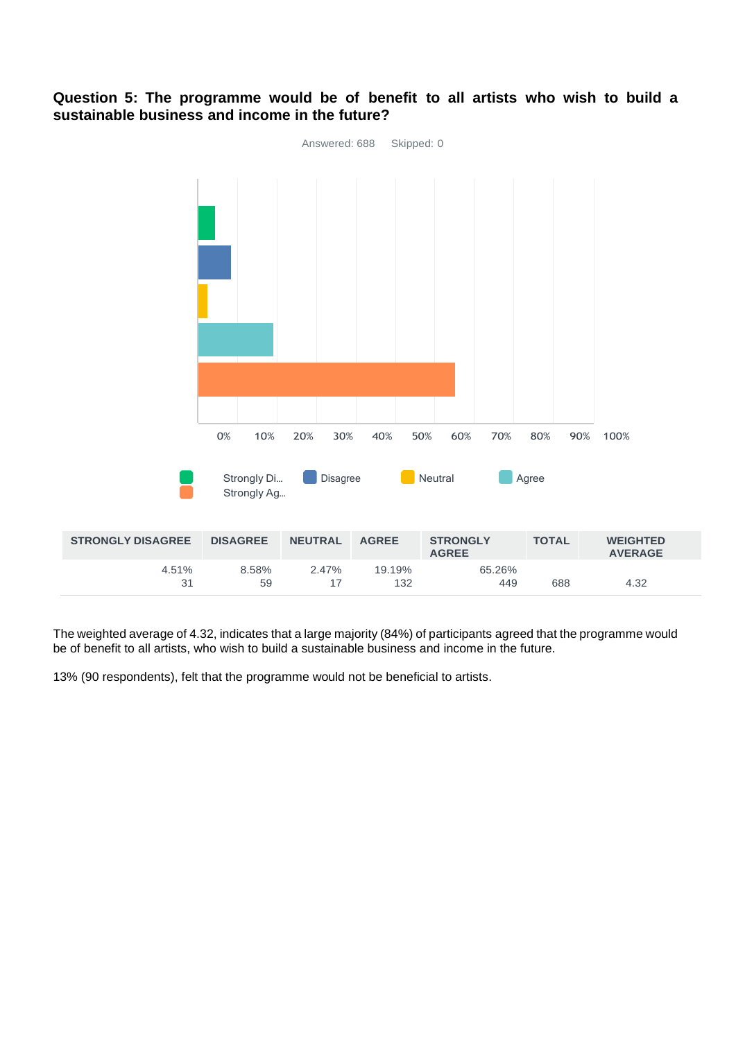# Answered: 688 Skipped: 0 0% 10% 20% 30% 40% 50% 60% 70% 80% 90% 100% Strongly Di... Disagree **Neutral Agree** Strongly Ag… **STRONGLY DISAGREE DISAGREE NEUTRAL AGREE STRONGLY AGREE TOTAL WEIGHTED AVERAGE** 4.51% 31 8.58% 59 2.47% 17 19.19% 132 65.26% 449 688 4.32

# **Question 5: The programme would be of benefit to all artists who wish to build a sustainable business and income in the future?**

The weighted average of 4.32, indicates that a large majority (84%) of participants agreed that the programme would be of benefit to all artists, who wish to build a sustainable business and income in the future.

13% (90 respondents), felt that the programme would not be beneficial to artists.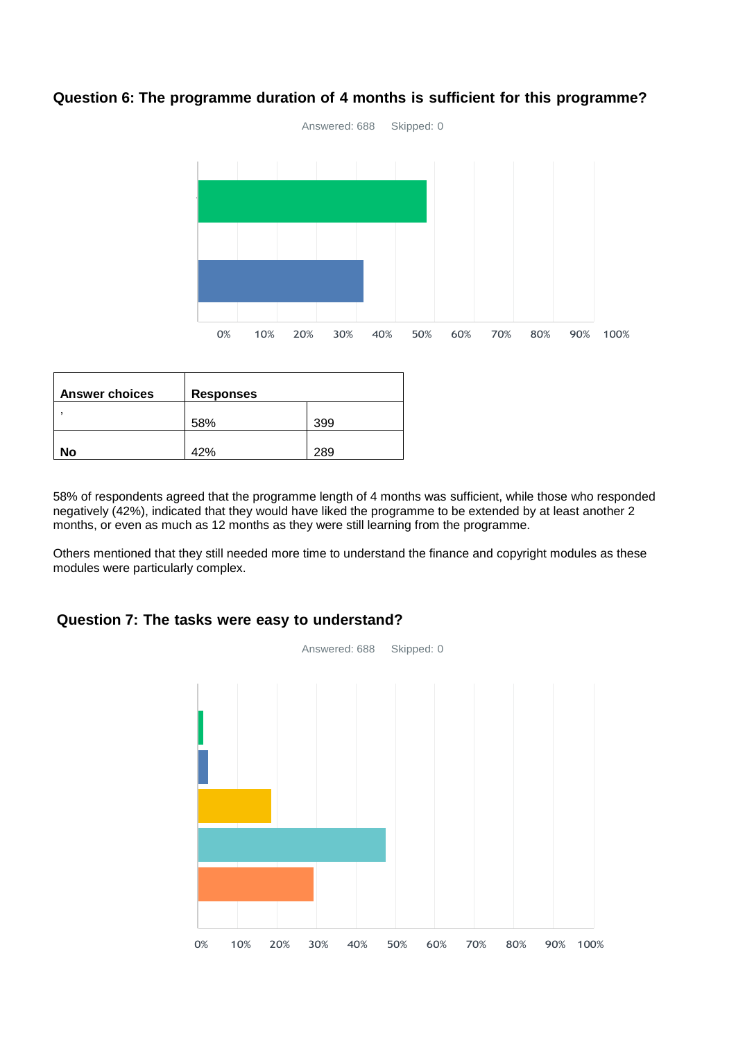

# **Question 6: The programme duration of 4 months is sufficient for this programme?**

| <b>Answer choices</b> | <b>Responses</b> |     |
|-----------------------|------------------|-----|
|                       | 58%              | 399 |
| No                    | 42%              | 289 |

58% of respondents agreed that the programme length of 4 months was sufficient, while those who responded negatively (42%), indicated that they would have liked the programme to be extended by at least another 2 months, or even as much as 12 months as they were still learning from the programme.

Others mentioned that they still needed more time to understand the finance and copyright modules as these modules were particularly complex.

# **Question 7: The tasks were easy to understand?**

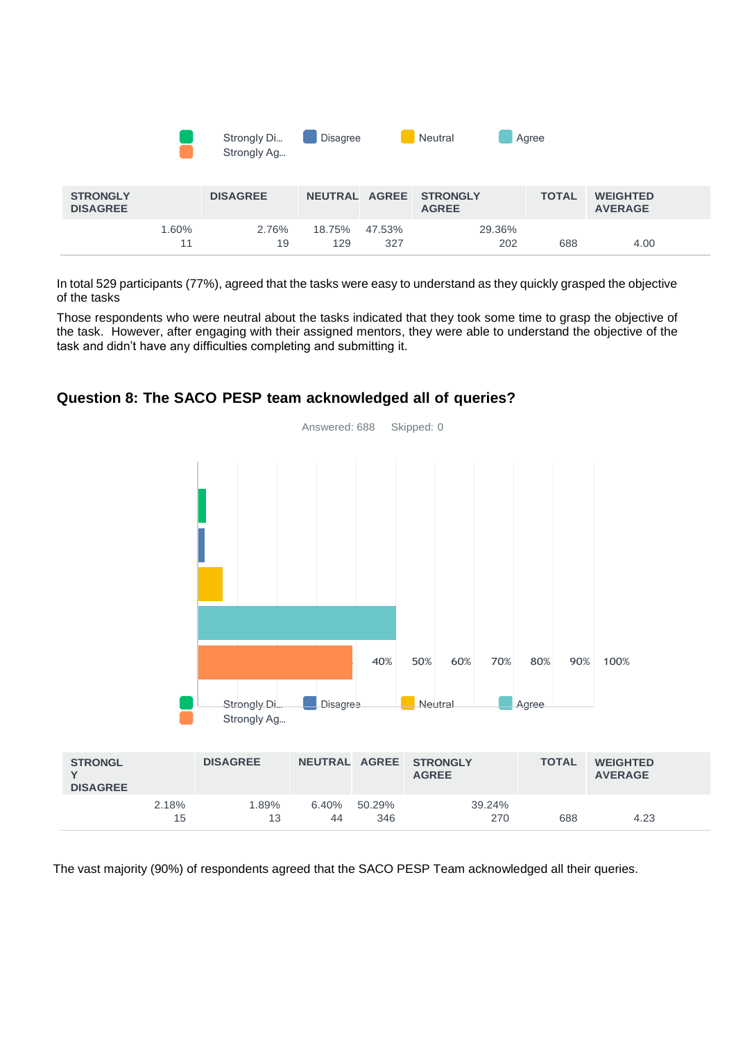|                                    |             | Strongly Di<br>Strongly Ag | <b>Disagree</b> |               | Neutral                         | Agree        |                                   |  |
|------------------------------------|-------------|----------------------------|-----------------|---------------|---------------------------------|--------------|-----------------------------------|--|
| <b>STRONGLY</b><br><b>DISAGREE</b> |             | <b>DISAGREE</b>            | NEUTRAL AGREE   |               | <b>STRONGLY</b><br><b>AGREE</b> | <b>TOTAL</b> | <b>WEIGHTED</b><br><b>AVERAGE</b> |  |
|                                    | 1.60%<br>11 | 2.76%<br>19                | 18.75%<br>129   | 47.53%<br>327 | 29.36%<br>202                   | 688          | 4.00                              |  |

In total 529 participants (77%), agreed that the tasks were easy to understand as they quickly grasped the objective of the tasks

Those respondents who were neutral about the tasks indicated that they took some time to grasp the objective of the task. However, after engaging with their assigned mentors, they were able to understand the objective of the task and didn't have any difficulties completing and submitting it.



# **Question 8: The SACO PESP team acknowledged all of queries?**

**Y**

15

The vast majority (90%) of respondents agreed that the SACO PESP Team acknowledged all their queries.

44

346

270 688 4.23

13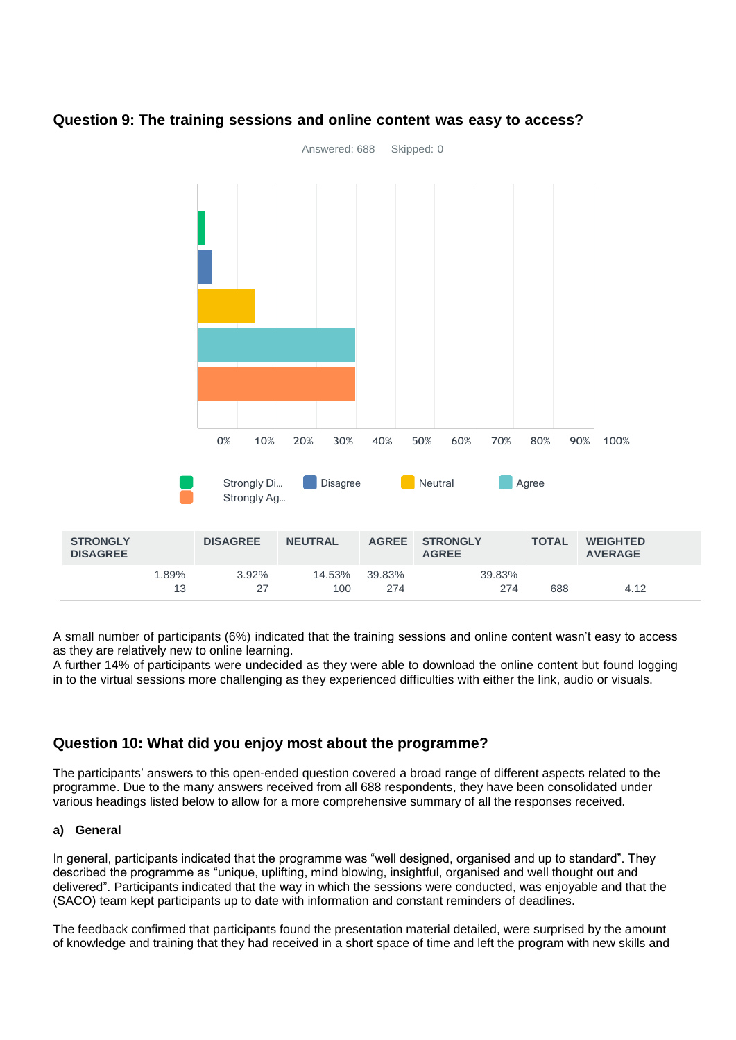

# **Question 9: The training sessions and online content was easy to access?**

A small number of participants (6%) indicated that the training sessions and online content wasn't easy to access as they are relatively new to online learning.

A further 14% of participants were undecided as they were able to download the online content but found logging in to the virtual sessions more challenging as they experienced difficulties with either the link, audio or visuals.

# **Question 10: What did you enjoy most about the programme?**

The participants' answers to this open-ended question covered a broad range of different aspects related to the programme. Due to the many answers received from all 688 respondents, they have been consolidated under various headings listed below to allow for a more comprehensive summary of all the responses received.

#### **a) General**

In general, participants indicated that the programme was "well designed, organised and up to standard". They described the programme as "unique, uplifting, mind blowing, insightful, organised and well thought out and delivered". Participants indicated that the way in which the sessions were conducted, was enjoyable and that the (SACO) team kept participants up to date with information and constant reminders of deadlines.

The feedback confirmed that participants found the presentation material detailed, were surprised by the amount of knowledge and training that they had received in a short space of time and left the program with new skills and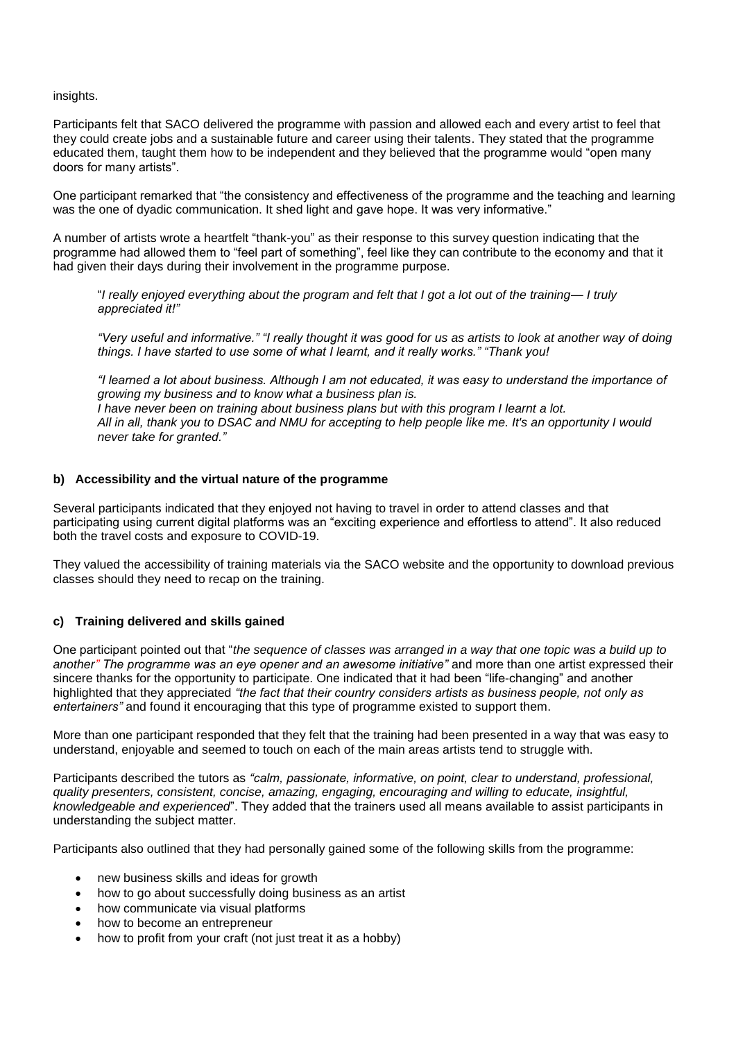insights.

Participants felt that SACO delivered the programme with passion and allowed each and every artist to feel that they could create jobs and a sustainable future and career using their talents. They stated that the programme educated them, taught them how to be independent and they believed that the programme would "open many doors for many artists".

One participant remarked that "the consistency and effectiveness of the programme and the teaching and learning was the one of dyadic communication. It shed light and gave hope. It was very informative."

A number of artists wrote a heartfelt "thank-you" as their response to this survey question indicating that the programme had allowed them to "feel part of something", feel like they can contribute to the economy and that it had given their days during their involvement in the programme purpose.

"*I really enjoyed everything about the program and felt that I got a lot out of the training— I truly appreciated it!"* 

*"Very useful and informative." "I really thought it was good for us as artists to look at another way of doing things. I have started to use some of what I learnt, and it really works." "Thank you!*

*"I learned a lot about business. Although I am not educated, it was easy to understand the importance of growing my business and to know what a business plan is. I have never been on training about business plans but with this program I learnt a lot. All in all, thank you to DSAC and NMU for accepting to help people like me. It's an opportunity I would never take for granted."*

#### **b) Accessibility and the virtual nature of the programme**

Several participants indicated that they enjoyed not having to travel in order to attend classes and that participating using current digital platforms was an "exciting experience and effortless to attend". It also reduced both the travel costs and exposure to COVID-19.

They valued the accessibility of training materials via the SACO website and the opportunity to download previous classes should they need to recap on the training.

#### **c) Training delivered and skills gained**

One participant pointed out that "*the sequence of classes was arranged in a way that one topic was a build up to another" The programme was an eye opener and an awesome initiative"* and more than one artist expressed their sincere thanks for the opportunity to participate. One indicated that it had been "life-changing" and another highlighted that they appreciated *"the fact that their country considers artists as business people, not only as entertainers"* and found it encouraging that this type of programme existed to support them.

More than one participant responded that they felt that the training had been presented in a way that was easy to understand, enjoyable and seemed to touch on each of the main areas artists tend to struggle with.

Participants described the tutors as *"calm, passionate, informative, on point, clear to understand, professional, quality presenters, consistent, concise, amazing, engaging, encouraging and willing to educate, insightful, knowledgeable and experienced*". They added that the trainers used all means available to assist participants in understanding the subject matter.

Participants also outlined that they had personally gained some of the following skills from the programme:

- new business skills and ideas for growth
- how to go about successfully doing business as an artist
- how communicate via visual platforms
- how to become an entrepreneur
- how to profit from your craft (not just treat it as a hobby)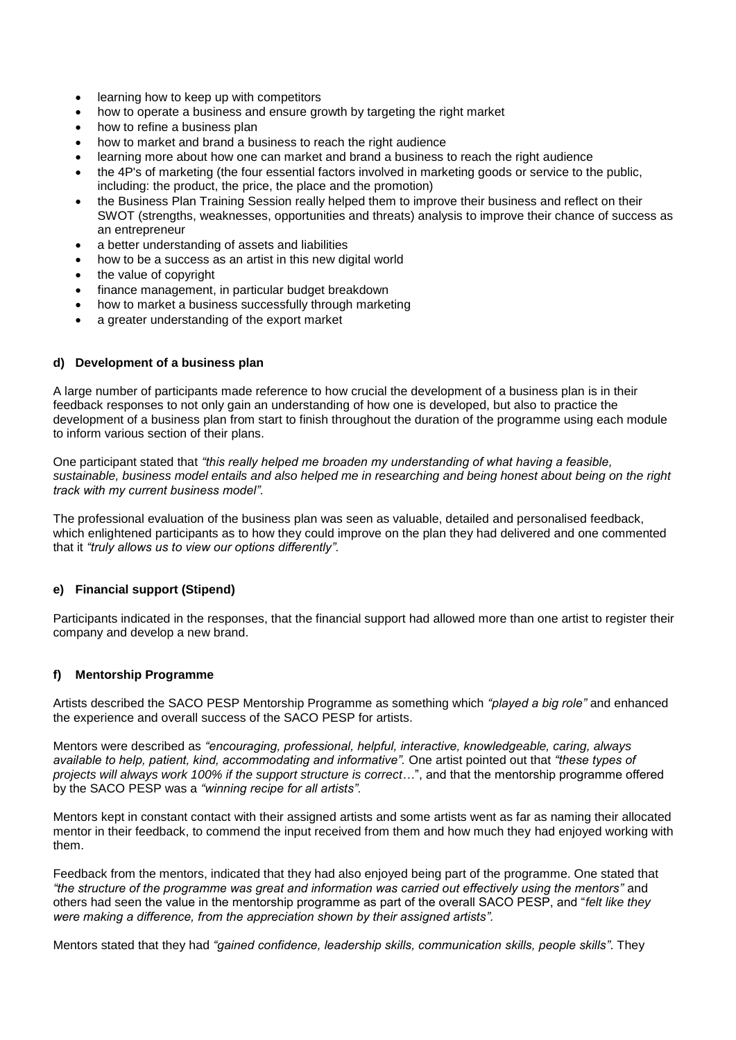- learning how to keep up with competitors
- how to operate a business and ensure growth by targeting the right market
- how to refine a business plan
- how to market and brand a business to reach the right audience
- learning more about how one can market and brand a business to reach the right audience
- the 4P's of marketing (the four essential factors involved in marketing goods or service to the public, including: the product, the price, the place and the promotion)
- the Business Plan Training Session really helped them to improve their business and reflect on their SWOT (strengths, weaknesses, opportunities and threats) analysis to improve their chance of success as an entrepreneur
- a better understanding of assets and liabilities
- how to be a success as an artist in this new digital world
- the value of copyright
- finance management, in particular budget breakdown
- how to market a business successfully through marketing
- a greater understanding of the export market

#### **d) Development of a business plan**

A large number of participants made reference to how crucial the development of a business plan is in their feedback responses to not only gain an understanding of how one is developed, but also to practice the development of a business plan from start to finish throughout the duration of the programme using each module to inform various section of their plans.

One participant stated that *"this really helped me broaden my understanding of what having a feasible, sustainable, business model entails and also helped me in researching and being honest about being on the right track with my current business model".*

The professional evaluation of the business plan was seen as valuable, detailed and personalised feedback, which enlightened participants as to how they could improve on the plan they had delivered and one commented that it *"truly allows us to view our options differently".*

#### **e) Financial support (Stipend)**

Participants indicated in the responses, that the financial support had allowed more than one artist to register their company and develop a new brand.

#### **f) Mentorship Programme**

Artists described the SACO PESP Mentorship Programme as something which *"played a big role"* and enhanced the experience and overall success of the SACO PESP for artists.

Mentors were described as *"encouraging, professional, helpful, interactive, knowledgeable, caring, always available to help, patient, kind, accommodating and informative".* One artist pointed out that *"these types of projects will always work 100% if the support structure is correct*…", and that the mentorship programme offered by the SACO PESP was a *"winning recipe for all artists".*

Mentors kept in constant contact with their assigned artists and some artists went as far as naming their allocated mentor in their feedback, to commend the input received from them and how much they had enjoyed working with them.

Feedback from the mentors, indicated that they had also enjoyed being part of the programme. One stated that *"the structure of the programme was great and information was carried out effectively using the mentors"* and others had seen the value in the mentorship programme as part of the overall SACO PESP, and "*felt like they were making a difference, from the appreciation shown by their assigned artists".*

Mentors stated that they had *"gained confidence, leadership skills, communication skills, people skills"*. They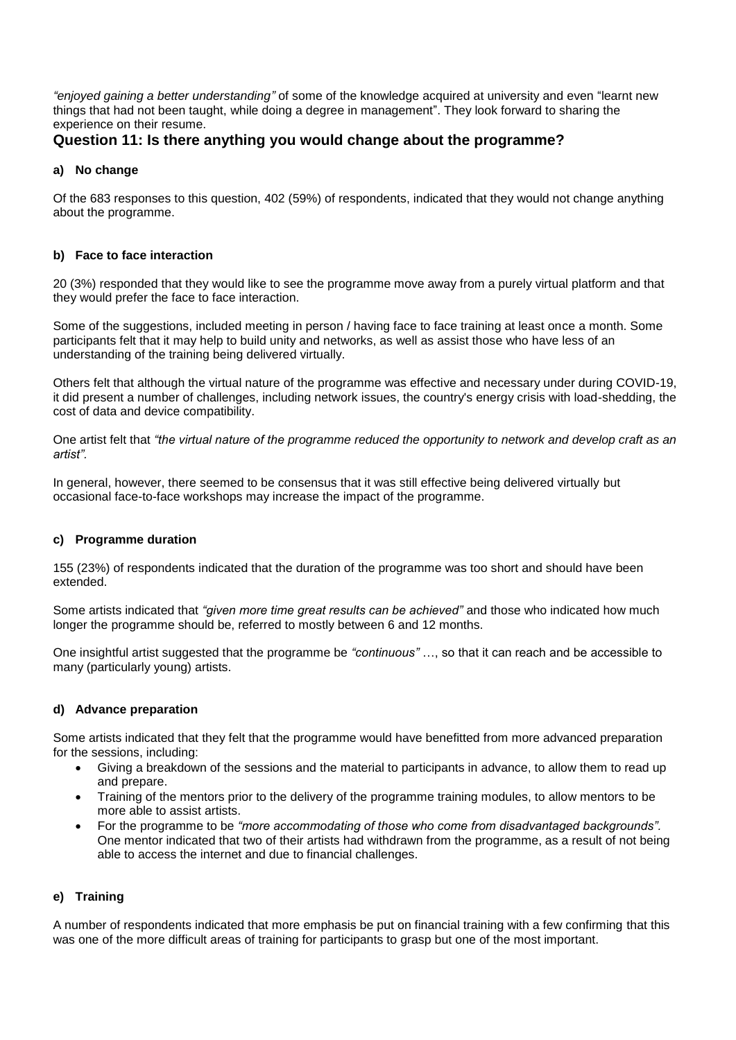*"enjoyed gaining a better understanding"* of some of the knowledge acquired at university and even "learnt new things that had not been taught, while doing a degree in management". They look forward to sharing the experience on their resume.

# **Question 11: Is there anything you would change about the programme?**

#### **a) No change**

Of the 683 responses to this question, 402 (59%) of respondents, indicated that they would not change anything about the programme.

#### **b) Face to face interaction**

20 (3%) responded that they would like to see the programme move away from a purely virtual platform and that they would prefer the face to face interaction.

Some of the suggestions, included meeting in person / having face to face training at least once a month. Some participants felt that it may help to build unity and networks, as well as assist those who have less of an understanding of the training being delivered virtually.

Others felt that although the virtual nature of the programme was effective and necessary under during COVID-19, it did present a number of challenges, including network issues, the country's energy crisis with load-shedding, the cost of data and device compatibility.

One artist felt that *"the virtual nature of the programme reduced the opportunity to network and develop craft as an artist".*

In general, however, there seemed to be consensus that it was still effective being delivered virtually but occasional face-to-face workshops may increase the impact of the programme.

#### **c) Programme duration**

155 (23%) of respondents indicated that the duration of the programme was too short and should have been extended.

Some artists indicated that *"given more time great results can be achieved"* and those who indicated how much longer the programme should be, referred to mostly between 6 and 12 months.

One insightful artist suggested that the programme be *"continuous"* …, so that it can reach and be accessible to many (particularly young) artists.

# **d) Advance preparation**

Some artists indicated that they felt that the programme would have benefitted from more advanced preparation for the sessions, including:

- Giving a breakdown of the sessions and the material to participants in advance, to allow them to read up and prepare.
- Training of the mentors prior to the delivery of the programme training modules, to allow mentors to be more able to assist artists.
- For the programme to be *"more accommodating of those who come from disadvantaged backgrounds".* One mentor indicated that two of their artists had withdrawn from the programme, as a result of not being able to access the internet and due to financial challenges.

# **e) Training**

A number of respondents indicated that more emphasis be put on financial training with a few confirming that this was one of the more difficult areas of training for participants to grasp but one of the most important.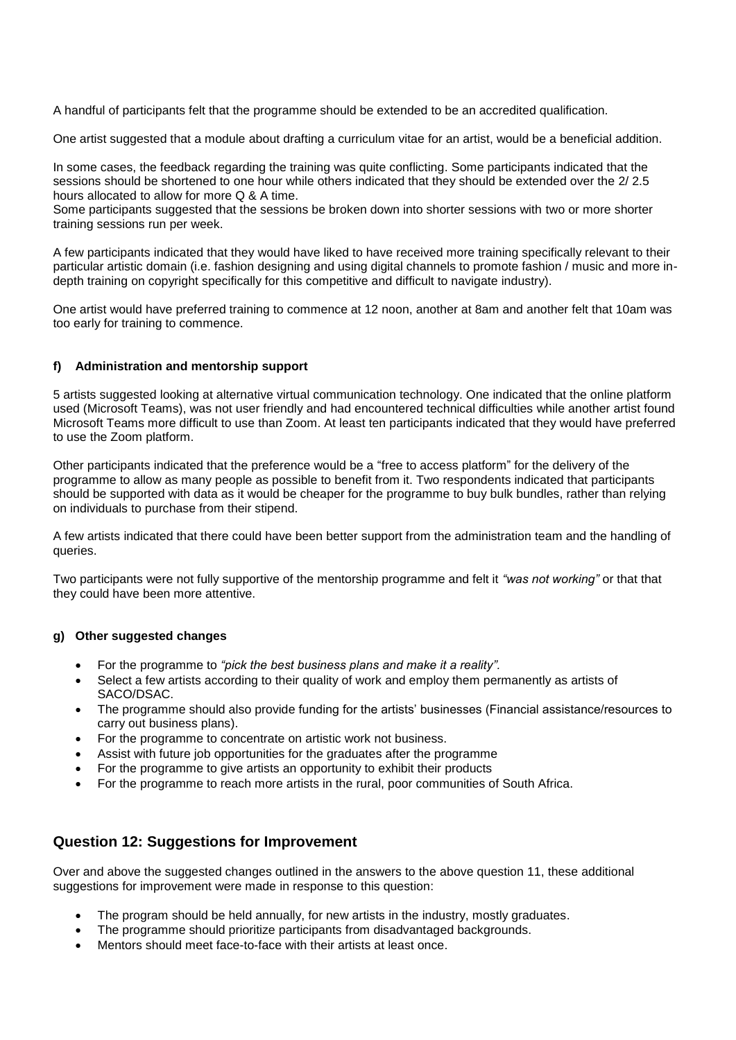A handful of participants felt that the programme should be extended to be an accredited qualification.

One artist suggested that a module about drafting a curriculum vitae for an artist, would be a beneficial addition.

In some cases, the feedback regarding the training was quite conflicting. Some participants indicated that the sessions should be shortened to one hour while others indicated that they should be extended over the 2/ 2.5 hours allocated to allow for more Q & A time.

Some participants suggested that the sessions be broken down into shorter sessions with two or more shorter training sessions run per week.

A few participants indicated that they would have liked to have received more training specifically relevant to their particular artistic domain (i.e. fashion designing and using digital channels to promote fashion / music and more indepth training on copyright specifically for this competitive and difficult to navigate industry).

One artist would have preferred training to commence at 12 noon, another at 8am and another felt that 10am was too early for training to commence.

#### **f) Administration and mentorship support**

5 artists suggested looking at alternative virtual communication technology. One indicated that the online platform used (Microsoft Teams), was not user friendly and had encountered technical difficulties while another artist found Microsoft Teams more difficult to use than Zoom. At least ten participants indicated that they would have preferred to use the Zoom platform.

Other participants indicated that the preference would be a "free to access platform" for the delivery of the programme to allow as many people as possible to benefit from it. Two respondents indicated that participants should be supported with data as it would be cheaper for the programme to buy bulk bundles, rather than relying on individuals to purchase from their stipend.

A few artists indicated that there could have been better support from the administration team and the handling of queries.

Two participants were not fully supportive of the mentorship programme and felt it *"was not working"* or that that they could have been more attentive.

#### **g) Other suggested changes**

- For the programme to *"pick the best business plans and make it a reality".*
- Select a few artists according to their quality of work and employ them permanently as artists of SACO/DSAC.
- The programme should also provide funding for the artists' businesses (Financial assistance/resources to carry out business plans).
- For the programme to concentrate on artistic work not business.
- Assist with future job opportunities for the graduates after the programme
- For the programme to give artists an opportunity to exhibit their products
- For the programme to reach more artists in the rural, poor communities of South Africa.

# **Question 12: Suggestions for Improvement**

Over and above the suggested changes outlined in the answers to the above question 11, these additional suggestions for improvement were made in response to this question:

- The program should be held annually, for new artists in the industry, mostly graduates.
- The programme should prioritize participants from disadvantaged backgrounds.
- Mentors should meet face-to-face with their artists at least once.